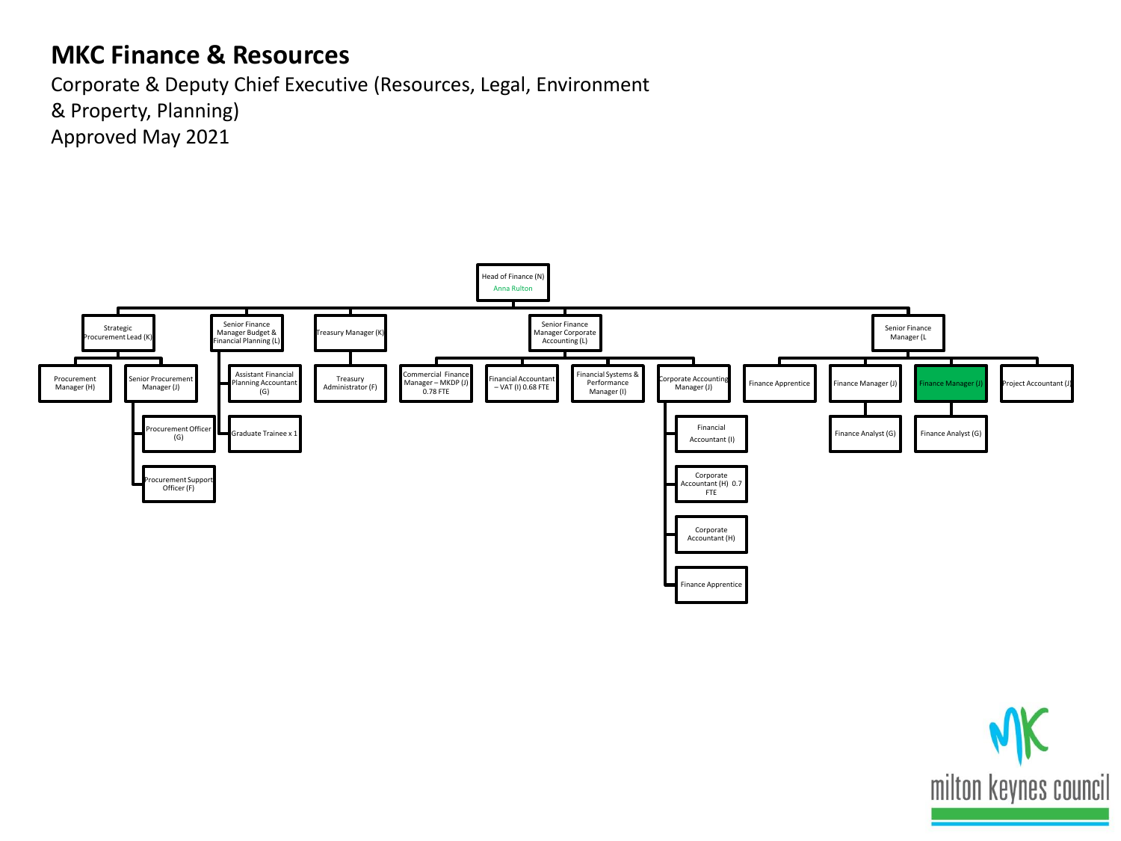## **MKC Finance & Resources**

Corporate & Deputy Chief Executive (Resources, Legal, Environment & Property, Planning) Approved May 2021